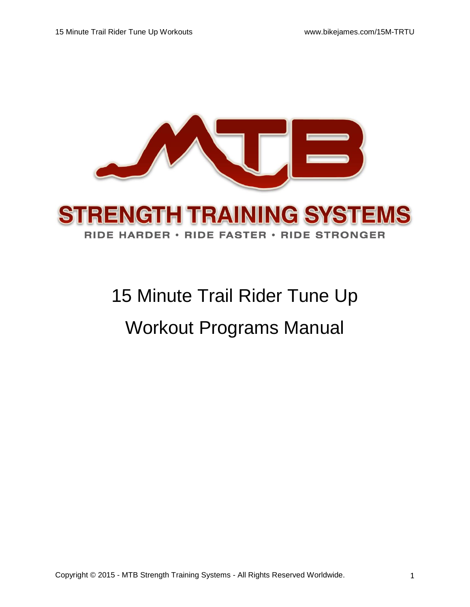

# 15 Minute Trail Rider Tune Up Workout Programs Manual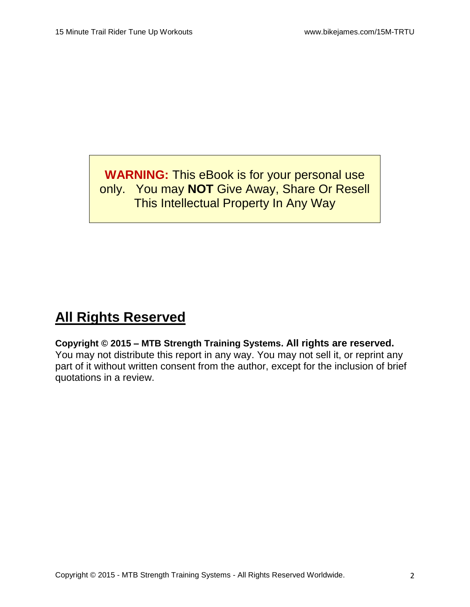**WARNING:** This eBook is for your personal use only. You may **NOT** Give Away, Share Or Resell This Intellectual Property In Any Way

# **All Rights Reserved**

**Copyright © 2015 – MTB Strength Training Systems. All rights are reserved.**  You may not distribute this report in any way. You may not sell it, or reprint any part of it without written consent from the author, except for the inclusion of brief quotations in a review.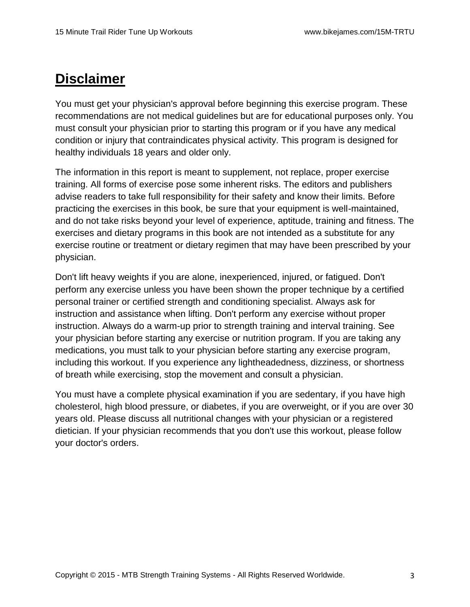# **Disclaimer**

You must get your physician's approval before beginning this exercise program. These recommendations are not medical guidelines but are for educational purposes only. You must consult your physician prior to starting this program or if you have any medical condition or injury that contraindicates physical activity. This program is designed for healthy individuals 18 years and older only.

The information in this report is meant to supplement, not replace, proper exercise training. All forms of exercise pose some inherent risks. The editors and publishers advise readers to take full responsibility for their safety and know their limits. Before practicing the exercises in this book, be sure that your equipment is well-maintained, and do not take risks beyond your level of experience, aptitude, training and fitness. The exercises and dietary programs in this book are not intended as a substitute for any exercise routine or treatment or dietary regimen that may have been prescribed by your physician.

Don't lift heavy weights if you are alone, inexperienced, injured, or fatigued. Don't perform any exercise unless you have been shown the proper technique by a certified personal trainer or certified strength and conditioning specialist. Always ask for instruction and assistance when lifting. Don't perform any exercise without proper instruction. Always do a warm-up prior to strength training and interval training. See your physician before starting any exercise or nutrition program. If you are taking any medications, you must talk to your physician before starting any exercise program, including this workout. If you experience any lightheadedness, dizziness, or shortness of breath while exercising, stop the movement and consult a physician.

You must have a complete physical examination if you are sedentary, if you have high cholesterol, high blood pressure, or diabetes, if you are overweight, or if you are over 30 years old. Please discuss all nutritional changes with your physician or a registered dietician. If your physician recommends that you don't use this workout, please follow your doctor's orders.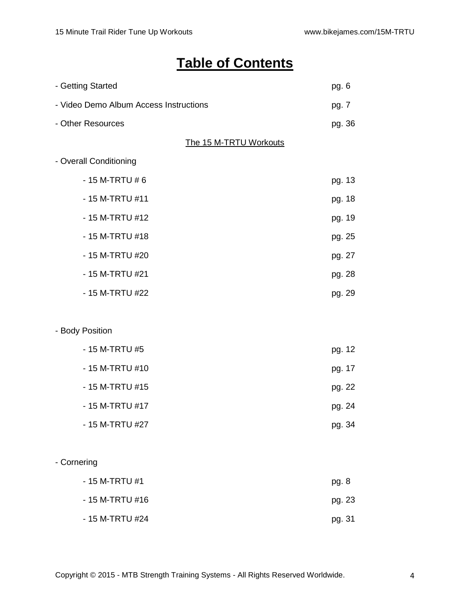# **Table of Contents**

| - Getting Started                      |                        | pg. 6  |
|----------------------------------------|------------------------|--------|
| - Video Demo Album Access Instructions |                        | pg. 7  |
| - Other Resources                      |                        | pg. 36 |
|                                        | The 15 M-TRTU Workouts |        |
| - Overall Conditioning                 |                        |        |
| $-15$ M-TRTU #6                        |                        | pg. 13 |
| - 15 M-TRTU #11                        |                        | pg. 18 |
| - 15 M-TRTU #12                        |                        | pg. 19 |
| - 15 M-TRTU #18                        |                        | pg. 25 |
| - 15 M-TRTU #20                        |                        | pg. 27 |
| - 15 M-TRTU #21                        |                        | pg. 28 |
| - 15 M-TRTU #22                        |                        | pg. 29 |
|                                        |                        |        |
| - Body Position                        |                        |        |
| - 15 M-TRTU #5                         |                        | pg. 12 |
| - 15 M-TRTU #10                        |                        | pg. 17 |
| - 15 M-TRTU #15                        |                        | pg. 22 |
| - 15 M-TRTU #17                        |                        | pg. 24 |
| - 15 M-TRTU #27                        |                        | pg. 34 |
|                                        |                        |        |
| - Cornering                            |                        |        |
| - 15 M-TRTU #1                         |                        | pg. 8  |
| - 15 M-TRTU #16                        |                        | pg. 23 |
| - 15 M-TRTU #24                        |                        | pg. 31 |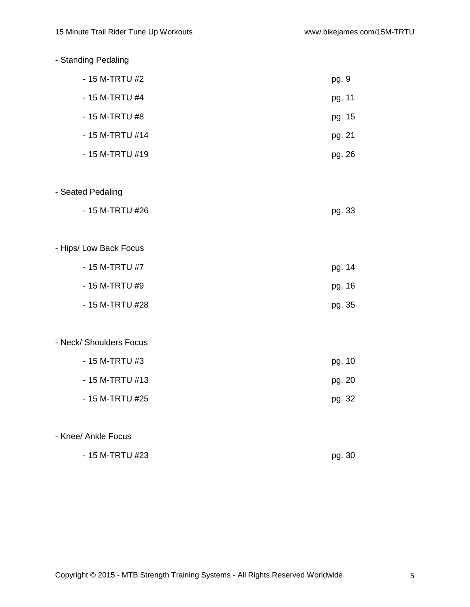| - Standing Pedaling     |        |
|-------------------------|--------|
| - 15 M-TRTU #2          | pg. 9  |
| - 15 M-TRTU #4          | pg. 11 |
| - 15 M-TRTU #8          | pg. 15 |
| - 15 M-TRTU #14         | pg. 21 |
| - 15 M-TRTU #19         | pg. 26 |
| - Seated Pedaling       |        |
| - 15 M-TRTU #26         | pg. 33 |
| - Hips/ Low Back Focus  |        |
| - 15 M-TRTU #7          | pg. 14 |
| - 15 M-TRTU #9          | pg. 16 |
| - 15 M-TRTU #28         | pg. 35 |
| - Neck/ Shoulders Focus |        |
| - 15 M-TRTU #3          | pg. 10 |
| - 15 M-TRTU #13         | pg. 20 |
| - 15 M-TRTU #25         | pg. 32 |
| - Knee/ Ankle Focus     |        |
| - 15 M-TRTU #23         | pg. 30 |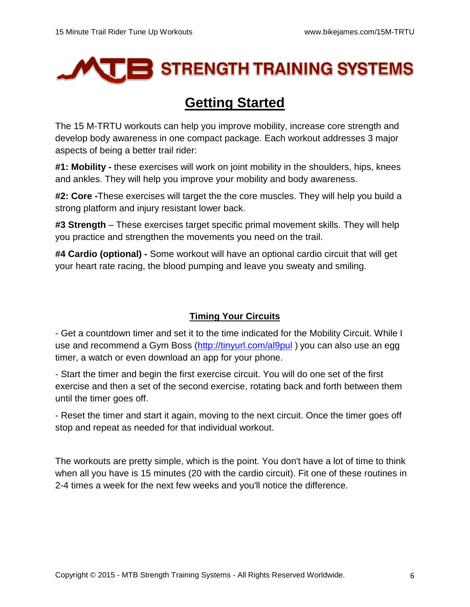

# **Getting Started**

The 15 M-TRTU workouts can help you improve mobility, increase core strength and develop body awareness in one compact package. Each workout addresses 3 major aspects of being a better trail rider:

**#1: Mobility -** these exercises will work on joint mobility in the shoulders, hips, knees and ankles. They will help you improve your mobility and body awareness.

**#2: Core -**These exercises will target the the core muscles. They will help you build a strong platform and injury resistant lower back.

**#3 Strength** – These exercises target specific primal movement skills. They will help you practice and strengthen the movements you need on the trail.

**#4 Cardio (optional) -** Some workout will have an optional cardio circuit that will get your heart rate racing, the blood pumping and leave you sweaty and smiling.

# **Timing Your Circuits**

- Get a countdown timer and set it to the time indicated for the Mobility Circuit. While I use and recommend a Gym Boss [\(http://tinyurl.com/al9pul](http://tinyurl.com/al9pul)) you can also use an egg timer, a watch or even download an app for your phone.

- Start the timer and begin the first exercise circuit. You will do one set of the first exercise and then a set of the second exercise, rotating back and forth between them until the timer goes off.

- Reset the timer and start it again, moving to the next circuit. Once the timer goes off stop and repeat as needed for that individual workout.

The workouts are pretty simple, which is the point. You don't have a lot of time to think when all you have is 15 minutes (20 with the cardio circuit). Fit one of these routines in 2-4 times a week for the next few weeks and you'll notice the difference.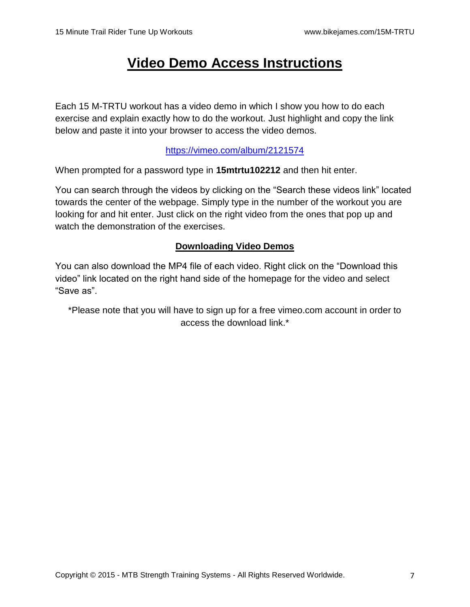# **Video Demo Access Instructions**

Each 15 M-TRTU workout has a video demo in which I show you how to do each exercise and explain exactly how to do the workout. Just highlight and copy the link below and paste it into your browser to access the video demos.

# <https://vimeo.com/album/2121574>

When prompted for a password type in **15mtrtu102212** and then hit enter.

You can search through the videos by clicking on the "Search these videos link" located towards the center of the webpage. Simply type in the number of the workout you are looking for and hit enter. Just click on the right video from the ones that pop up and watch the demonstration of the exercises.

# **Downloading Video Demos**

You can also download the MP4 file of each video. Right click on the "Download this video" link located on the right hand side of the homepage for the video and select "Save as".

\*Please note that you will have to sign up for a free vimeo.com account in order to access the download link.\*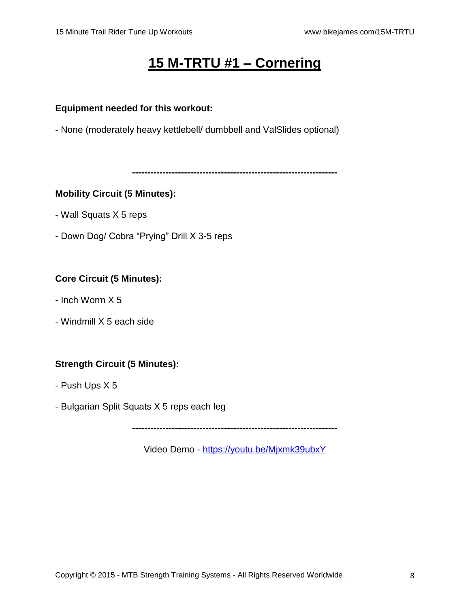# **15 M-TRTU #1 – Cornering**

### **Equipment needed for this workout:**

- None (moderately heavy kettlebell/ dumbbell and ValSlides optional)

**-------------------------------------------------------------------**

# **Mobility Circuit (5 Minutes):**

- Wall Squats X 5 reps
- Down Dog/ Cobra "Prying" Drill X 3-5 reps

# **Core Circuit (5 Minutes):**

- Inch Worm X 5
- Windmill X 5 each side

# **Strength Circuit (5 Minutes):**

- Push Ups X 5
- Bulgarian Split Squats X 5 reps each leg

**-------------------------------------------------------------------**

Video Demo - <https://youtu.be/Mjxmk39ubxY>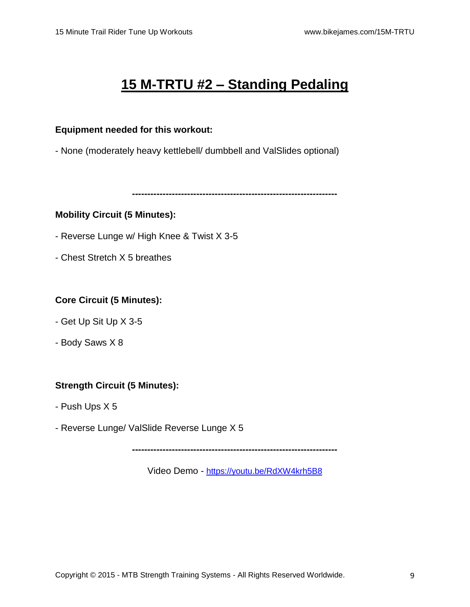# **15 M-TRTU #2 – Standing Pedaling**

#### **Equipment needed for this workout:**

- None (moderately heavy kettlebell/ dumbbell and ValSlides optional)

**-------------------------------------------------------------------**

#### **Mobility Circuit (5 Minutes):**

- Reverse Lunge w/ High Knee & Twist X 3-5
- Chest Stretch X 5 breathes

# **Core Circuit (5 Minutes):**

- Get Up Sit Up X 3-5
- Body Saws X 8

# **Strength Circuit (5 Minutes):**

- Push Ups X 5
- Reverse Lunge/ ValSlide Reverse Lunge X 5

**-------------------------------------------------------------------**

Video Demo - <https://youtu.be/RdXW4krh5B8>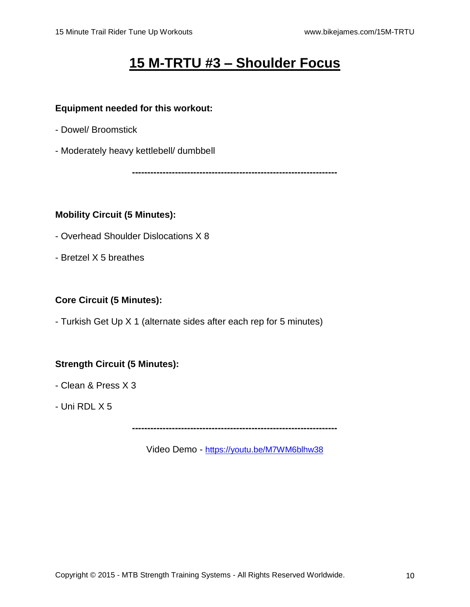# **15 M-TRTU #3 – Shoulder Focus**

#### **Equipment needed for this workout:**

- Dowel/ Broomstick
- Moderately heavy kettlebell/ dumbbell

**-------------------------------------------------------------------**

#### **Mobility Circuit (5 Minutes):**

- Overhead Shoulder Dislocations X 8
- Bretzel X 5 breathes

# **Core Circuit (5 Minutes):**

- Turkish Get Up X 1 (alternate sides after each rep for 5 minutes)

# **Strength Circuit (5 Minutes):**

- Clean & Press X 3
- Uni RDL X 5

**-------------------------------------------------------------------**

Video Demo - <https://youtu.be/M7WM6blhw38>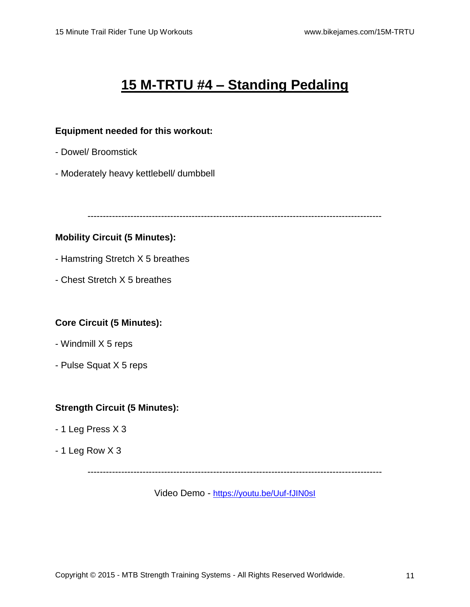# **15 M-TRTU #4 – Standing Pedaling**

#### **Equipment needed for this workout:**

- Dowel/ Broomstick
- Moderately heavy kettlebell/ dumbbell

------------------------------------------------------------------------------------------------

# **Mobility Circuit (5 Minutes):**

- Hamstring Stretch X 5 breathes
- Chest Stretch X 5 breathes

# **Core Circuit (5 Minutes):**

- Windmill X 5 reps
- Pulse Squat X 5 reps

# **Strength Circuit (5 Minutes):**

- 1 Leg Press X 3
- 1 Leg Row X 3

------------------------------------------------------------------------------------------------

Video Demo - <https://youtu.be/Uuf-fJIN0sI>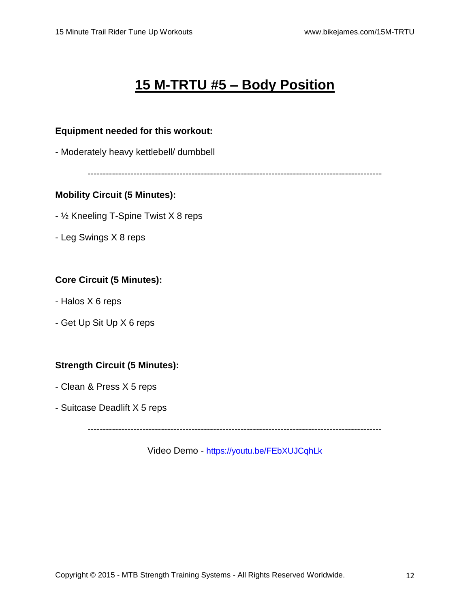# **15 M-TRTU #5 – Body Position**

#### **Equipment needed for this workout:**

- Moderately heavy kettlebell/ dumbbell

------------------------------------------------------------------------------------------------

#### **Mobility Circuit (5 Minutes):**

- ½ Kneeling T-Spine Twist X 8 reps
- Leg Swings X 8 reps

#### **Core Circuit (5 Minutes):**

- Halos X 6 reps
- Get Up Sit Up X 6 reps

# **Strength Circuit (5 Minutes):**

- Clean & Press X 5 reps
- Suitcase Deadlift X 5 reps

------------------------------------------------------------------------------------------------

Video Demo - <https://youtu.be/FEbXUJCqhLk>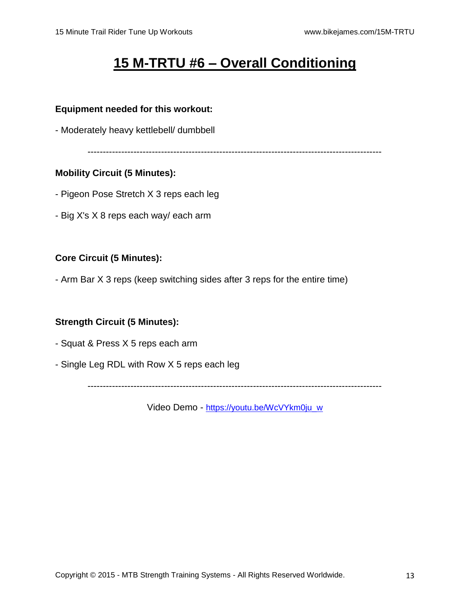# **15 M-TRTU #6 – Overall Conditioning**

#### **Equipment needed for this workout:**

- Moderately heavy kettlebell/ dumbbell

------------------------------------------------------------------------------------------------

# **Mobility Circuit (5 Minutes):**

- Pigeon Pose Stretch X 3 reps each leg
- Big X's X 8 reps each way/ each arm

# **Core Circuit (5 Minutes):**

- Arm Bar X 3 reps (keep switching sides after 3 reps for the entire time)

# **Strength Circuit (5 Minutes):**

- Squat & Press X 5 reps each arm
- Single Leg RDL with Row X 5 reps each leg

------------------------------------------------------------------------------------------------

Video Demo - [https://youtu.be/WcVYkm0ju\\_w](https://youtu.be/WcVYkm0ju_w)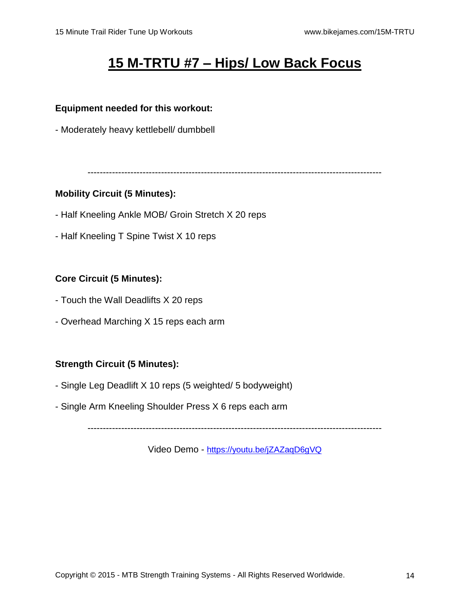# **15 M-TRTU #7 – Hips/ Low Back Focus**

#### **Equipment needed for this workout:**

- Moderately heavy kettlebell/ dumbbell

------------------------------------------------------------------------------------------------

#### **Mobility Circuit (5 Minutes):**

- Half Kneeling Ankle MOB/ Groin Stretch X 20 reps
- Half Kneeling T Spine Twist X 10 reps

# **Core Circuit (5 Minutes):**

- Touch the Wall Deadlifts X 20 reps
- Overhead Marching X 15 reps each arm

# **Strength Circuit (5 Minutes):**

- Single Leg Deadlift X 10 reps (5 weighted/ 5 bodyweight)
- Single Arm Kneeling Shoulder Press X 6 reps each arm

------------------------------------------------------------------------------------------------

Video Demo - <https://youtu.be/jZAZaqD6gVQ>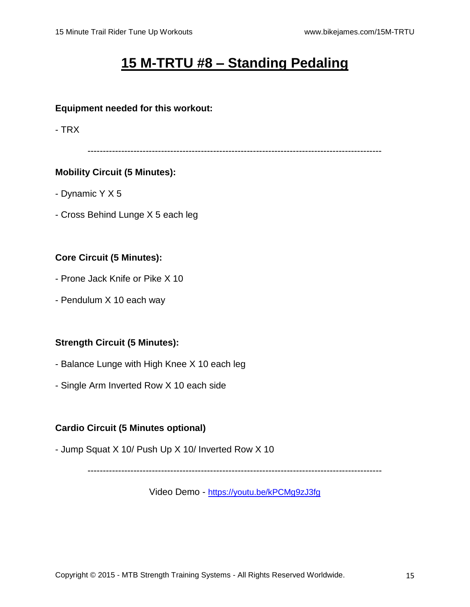# **15 M-TRTU #8 – Standing Pedaling**

#### **Equipment needed for this workout:**

- TRX

------------------------------------------------------------------------------------------------

# **Mobility Circuit (5 Minutes):**

- Dynamic Y X 5
- Cross Behind Lunge X 5 each leg

# **Core Circuit (5 Minutes):**

- Prone Jack Knife or Pike X 10
- Pendulum X 10 each way

# **Strength Circuit (5 Minutes):**

- Balance Lunge with High Knee X 10 each leg
- Single Arm Inverted Row X 10 each side

# **Cardio Circuit (5 Minutes optional)**

- Jump Squat X 10/ Push Up X 10/ Inverted Row X 10

------------------------------------------------------------------------------------------------

Video Demo - <https://youtu.be/kPCMg9zJ3fg>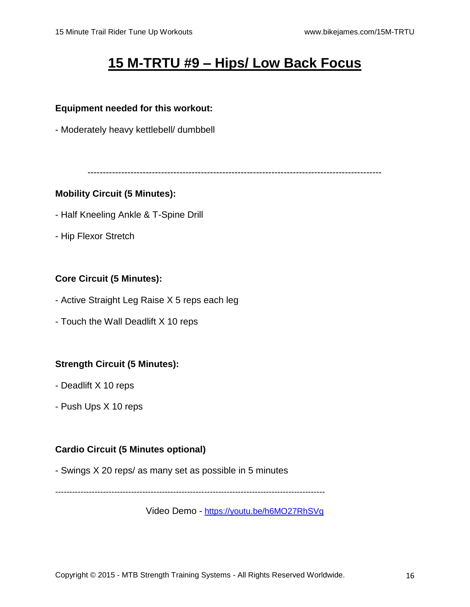# **15 M-TRTU #9 – Hips/ Low Back Focus**

#### **Equipment needed for this workout:**

- Moderately heavy kettlebell/ dumbbell

------------------------------------------------------------------------------------------------

#### **Mobility Circuit (5 Minutes):**

- Half Kneeling Ankle & T-Spine Drill
- Hip Flexor Stretch

# **Core Circuit (5 Minutes):**

- Active Straight Leg Raise X 5 reps each leg
- Touch the Wall Deadlift X 10 reps

#### **Strength Circuit (5 Minutes):**

- Deadlift X 10 reps
- Push Ups X 10 reps

#### **Cardio Circuit (5 Minutes optional)**

- Swings X 20 reps/ as many set as possible in 5 minutes

------------------------------------------------------------------------------------------------

Video Demo - <https://youtu.be/h6MO27RhSVg>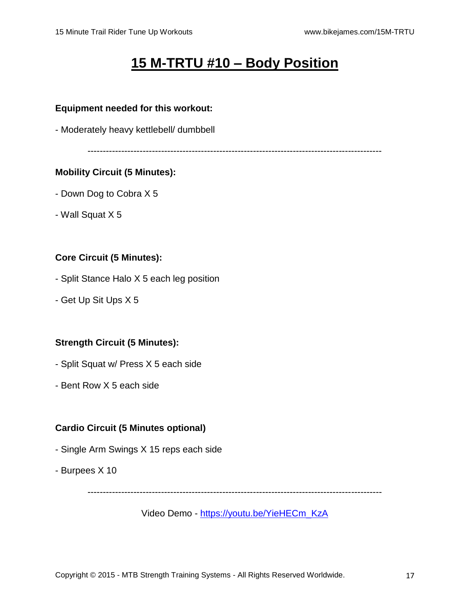# **15 M-TRTU #10 – Body Position**

#### **Equipment needed for this workout:**

- Moderately heavy kettlebell/ dumbbell

------------------------------------------------------------------------------------------------

#### **Mobility Circuit (5 Minutes):**

- Down Dog to Cobra X 5
- Wall Squat X 5

#### **Core Circuit (5 Minutes):**

- Split Stance Halo X 5 each leg position
- Get Up Sit Ups X 5

# **Strength Circuit (5 Minutes):**

- Split Squat w/ Press X 5 each side
- Bent Row X 5 each side

# **Cardio Circuit (5 Minutes optional)**

- Single Arm Swings X 15 reps each side
- Burpees X 10

------------------------------------------------------------------------------------------------

Video Demo - [https://youtu.be/YieHECm\\_KzA](https://youtu.be/YieHECm_KzA)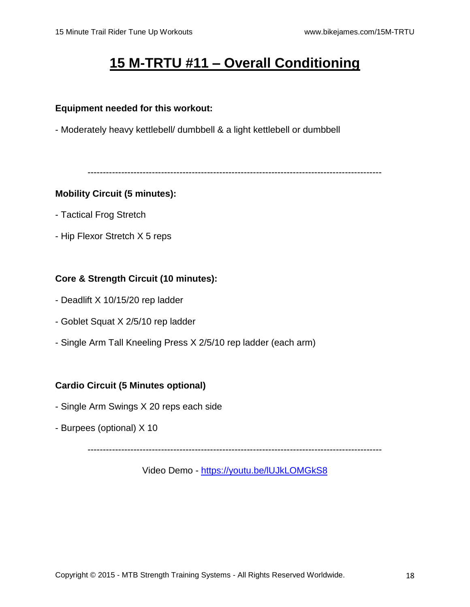# **15 M-TRTU #11 – Overall Conditioning**

#### **Equipment needed for this workout:**

- Moderately heavy kettlebell/ dumbbell & a light kettlebell or dumbbell

------------------------------------------------------------------------------------------------

# **Mobility Circuit (5 minutes):**

- Tactical Frog Stretch
- Hip Flexor Stretch X 5 reps

# **Core & Strength Circuit (10 minutes):**

- Deadlift X 10/15/20 rep ladder
- Goblet Squat X 2/5/10 rep ladder
- Single Arm Tall Kneeling Press X 2/5/10 rep ladder (each arm)

# **Cardio Circuit (5 Minutes optional)**

- Single Arm Swings X 20 reps each side
- Burpees (optional) X 10

------------------------------------------------------------------------------------------------

Video Demo - <https://youtu.be/lUJkLOMGkS8>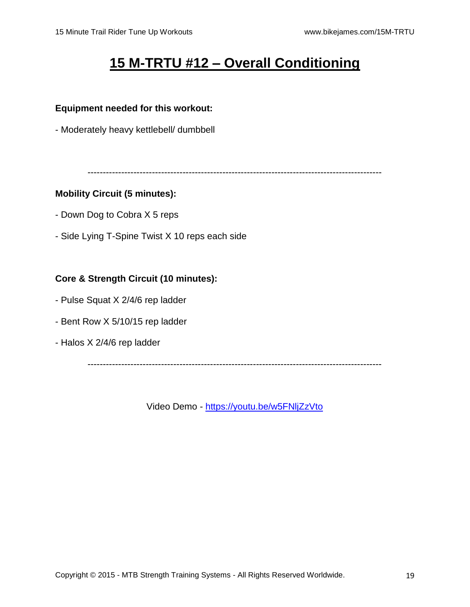# **15 M-TRTU #12 – Overall Conditioning**

#### **Equipment needed for this workout:**

- Moderately heavy kettlebell/ dumbbell

------------------------------------------------------------------------------------------------

#### **Mobility Circuit (5 minutes):**

- Down Dog to Cobra X 5 reps
- Side Lying T-Spine Twist X 10 reps each side

# **Core & Strength Circuit (10 minutes):**

- Pulse Squat X 2/4/6 rep ladder
- Bent Row X 5/10/15 rep ladder
- Halos X 2/4/6 rep ladder

------------------------------------------------------------------------------------------------

Video Demo - <https://youtu.be/w5FNljZzVto>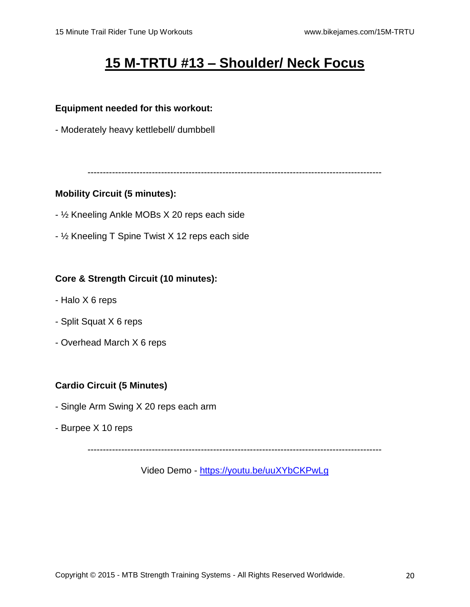# **15 M-TRTU #13 – Shoulder/ Neck Focus**

# **Equipment needed for this workout:**

- Moderately heavy kettlebell/ dumbbell

------------------------------------------------------------------------------------------------

# **Mobility Circuit (5 minutes):**

- ½ Kneeling Ankle MOBs X 20 reps each side
- ½ Kneeling T Spine Twist X 12 reps each side

# **Core & Strength Circuit (10 minutes):**

- Halo X 6 reps
- Split Squat X 6 reps
- Overhead March X 6 reps

# **Cardio Circuit (5 Minutes)**

- Single Arm Swing X 20 reps each arm
- Burpee X 10 reps

------------------------------------------------------------------------------------------------

Video Demo - <https://youtu.be/uuXYbCKPwLg>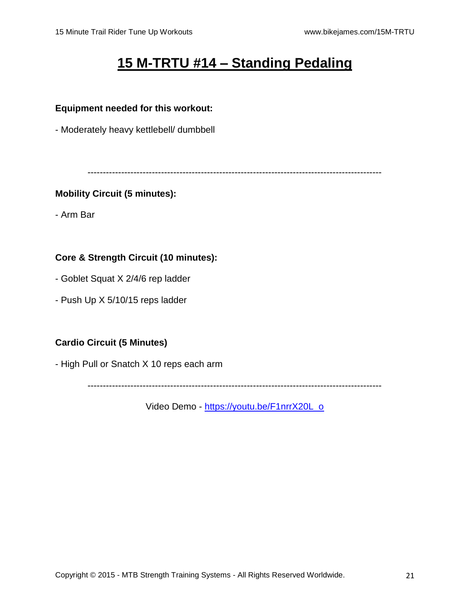# **15 M-TRTU #14 – Standing Pedaling**

# **Equipment needed for this workout:**

- Moderately heavy kettlebell/ dumbbell

------------------------------------------------------------------------------------------------

# **Mobility Circuit (5 minutes):**

- Arm Bar

# **Core & Strength Circuit (10 minutes):**

- Goblet Squat X 2/4/6 rep ladder
- Push Up X 5/10/15 reps ladder

# **Cardio Circuit (5 Minutes)**

- High Pull or Snatch X 10 reps each arm

------------------------------------------------------------------------------------------------

Video Demo - [https://youtu.be/F1nrrX20L\\_o](https://youtu.be/F1nrrX20L_o)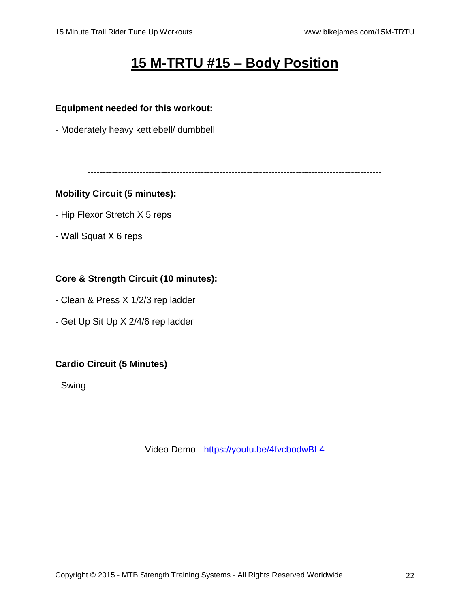# **15 M-TRTU #15 – Body Position**

#### **Equipment needed for this workout:**

- Moderately heavy kettlebell/ dumbbell

------------------------------------------------------------------------------------------------

#### **Mobility Circuit (5 minutes):**

- Hip Flexor Stretch X 5 reps
- Wall Squat X 6 reps

# **Core & Strength Circuit (10 minutes):**

- Clean & Press X 1/2/3 rep ladder
- Get Up Sit Up X 2/4/6 rep ladder

# **Cardio Circuit (5 Minutes)**

- Swing

------------------------------------------------------------------------------------------------

Video Demo - <https://youtu.be/4fvcbodwBL4>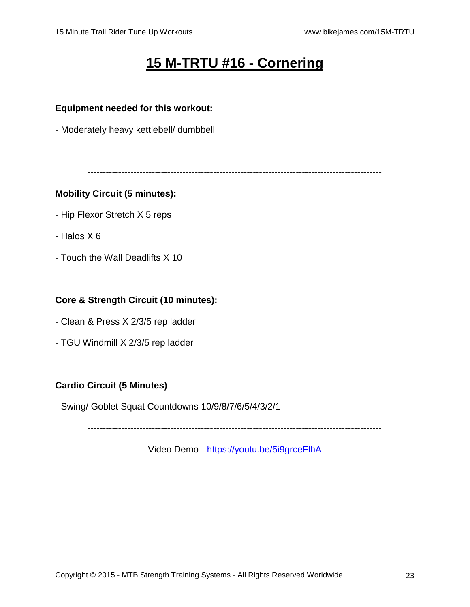# **15 M-TRTU #16 - Cornering**

#### **Equipment needed for this workout:**

- Moderately heavy kettlebell/ dumbbell

------------------------------------------------------------------------------------------------

#### **Mobility Circuit (5 minutes):**

- Hip Flexor Stretch X 5 reps
- Halos X 6
- Touch the Wall Deadlifts X 10

### **Core & Strength Circuit (10 minutes):**

- Clean & Press X 2/3/5 rep ladder
- TGU Windmill X 2/3/5 rep ladder

#### **Cardio Circuit (5 Minutes)**

- Swing/ Goblet Squat Countdowns 10/9/8/7/6/5/4/3/2/1

------------------------------------------------------------------------------------------------

Video Demo - <https://youtu.be/5i9grceFlhA>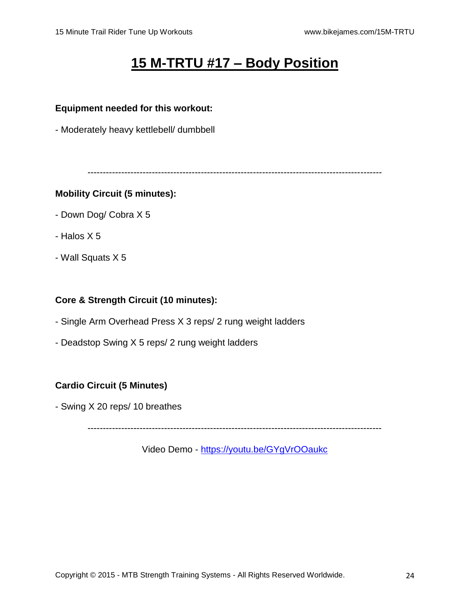# **15 M-TRTU #17 – Body Position**

#### **Equipment needed for this workout:**

- Moderately heavy kettlebell/ dumbbell

------------------------------------------------------------------------------------------------

#### **Mobility Circuit (5 minutes):**

- Down Dog/ Cobra X 5
- Halos X 5
- Wall Squats X 5

#### **Core & Strength Circuit (10 minutes):**

- Single Arm Overhead Press X 3 reps/ 2 rung weight ladders
- Deadstop Swing X 5 reps/ 2 rung weight ladders

#### **Cardio Circuit (5 Minutes)**

- Swing X 20 reps/ 10 breathes

------------------------------------------------------------------------------------------------

Video Demo - <https://youtu.be/GYgVrOOaukc>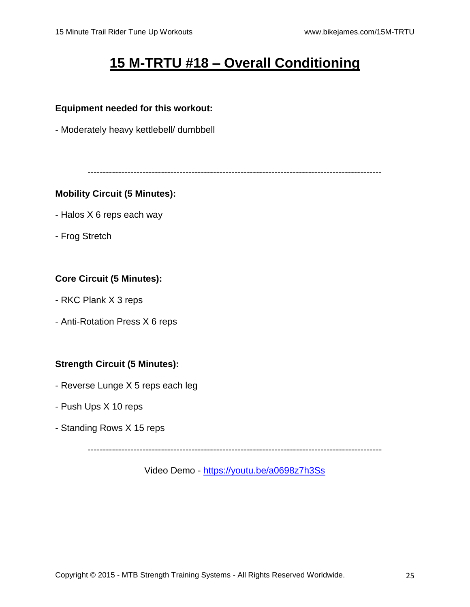# **15 M-TRTU #18 – Overall Conditioning**

#### **Equipment needed for this workout:**

- Moderately heavy kettlebell/ dumbbell

------------------------------------------------------------------------------------------------

#### **Mobility Circuit (5 Minutes):**

- Halos X 6 reps each way
- Frog Stretch

# **Core Circuit (5 Minutes):**

- RKC Plank X 3 reps
- Anti-Rotation Press X 6 reps

#### **Strength Circuit (5 Minutes):**

- Reverse Lunge X 5 reps each leg
- Push Ups X 10 reps
- Standing Rows X 15 reps

------------------------------------------------------------------------------------------------

Video Demo - <https://youtu.be/a0698z7h3Ss>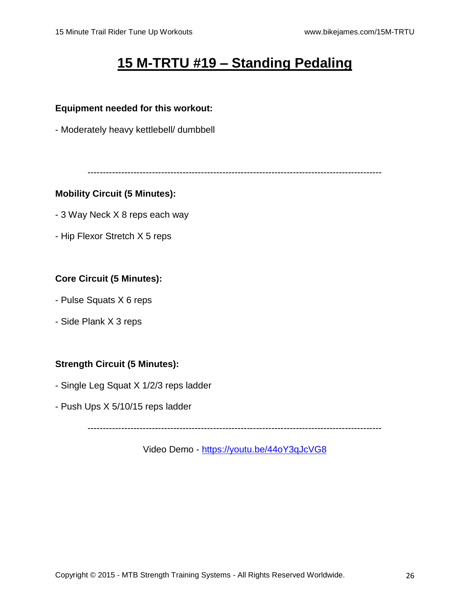# **15 M-TRTU #19 – Standing Pedaling**

#### **Equipment needed for this workout:**

- Moderately heavy kettlebell/ dumbbell

------------------------------------------------------------------------------------------------

#### **Mobility Circuit (5 Minutes):**

- 3 Way Neck X 8 reps each way
- Hip Flexor Stretch X 5 reps

# **Core Circuit (5 Minutes):**

- Pulse Squats X 6 reps
- Side Plank X 3 reps

# **Strength Circuit (5 Minutes):**

- Single Leg Squat X 1/2/3 reps ladder
- Push Ups X 5/10/15 reps ladder

------------------------------------------------------------------------------------------------

Video Demo - <https://youtu.be/44oY3qJcVG8>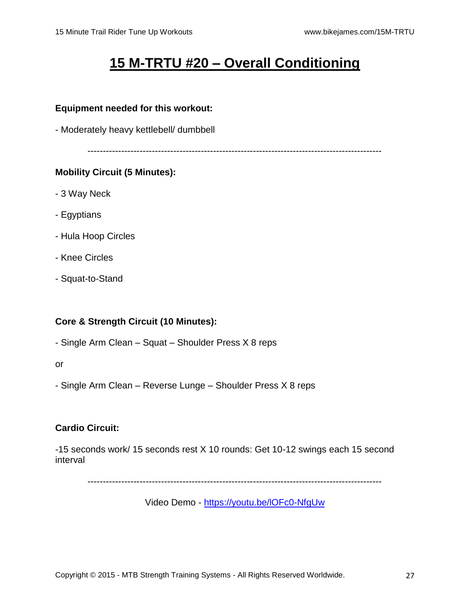# **15 M-TRTU #20 – Overall Conditioning**

#### **Equipment needed for this workout:**

- Moderately heavy kettlebell/ dumbbell

------------------------------------------------------------------------------------------------

# **Mobility Circuit (5 Minutes):**

- 3 Way Neck
- Egyptians
- Hula Hoop Circles
- Knee Circles
- Squat-to-Stand

# **Core & Strength Circuit (10 Minutes):**

- Single Arm Clean – Squat – Shoulder Press X 8 reps

or

- Single Arm Clean – Reverse Lunge – Shoulder Press X 8 reps

# **Cardio Circuit:**

-15 seconds work/ 15 seconds rest X 10 rounds: Get 10-12 swings each 15 second interval

------------------------------------------------------------------------------------------------

Video Demo - <https://youtu.be/lOFc0-NfgUw>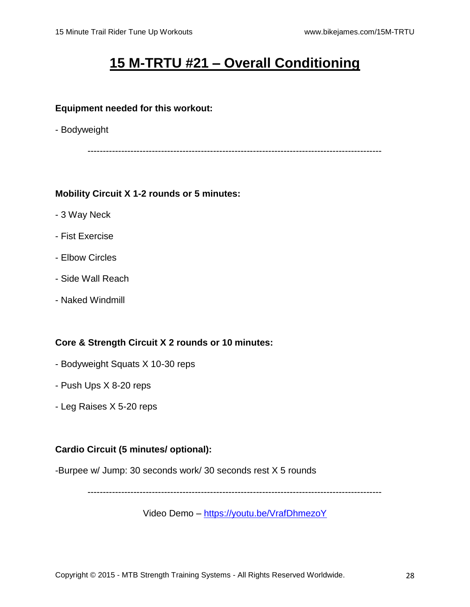# **15 M-TRTU #21 – Overall Conditioning**

#### **Equipment needed for this workout:**

- Bodyweight

------------------------------------------------------------------------------------------------

#### **Mobility Circuit X 1-2 rounds or 5 minutes:**

- 3 Way Neck
- Fist Exercise
- Elbow Circles
- Side Wall Reach
- Naked Windmill

# **Core & Strength Circuit X 2 rounds or 10 minutes:**

- Bodyweight Squats X 10-30 reps
- Push Ups X 8-20 reps
- Leg Raises X 5-20 reps

# **Cardio Circuit (5 minutes/ optional):**

-Burpee w/ Jump: 30 seconds work/ 30 seconds rest X 5 rounds

------------------------------------------------------------------------------------------------

Video Demo – <https://youtu.be/VrafDhmezoY>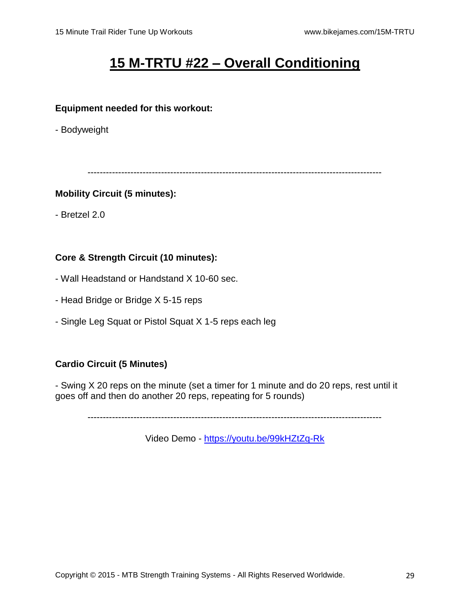# **15 M-TRTU #22 – Overall Conditioning**

#### **Equipment needed for this workout:**

- Bodyweight

------------------------------------------------------------------------------------------------

#### **Mobility Circuit (5 minutes):**

- Bretzel 2.0

# **Core & Strength Circuit (10 minutes):**

- Wall Headstand or Handstand X 10-60 sec.
- Head Bridge or Bridge X 5-15 reps
- Single Leg Squat or Pistol Squat X 1-5 reps each leg

# **Cardio Circuit (5 Minutes)**

- Swing X 20 reps on the minute (set a timer for 1 minute and do 20 reps, rest until it goes off and then do another 20 reps, repeating for 5 rounds)

------------------------------------------------------------------------------------------------

Video Demo - <https://youtu.be/99kHZtZq-Rk>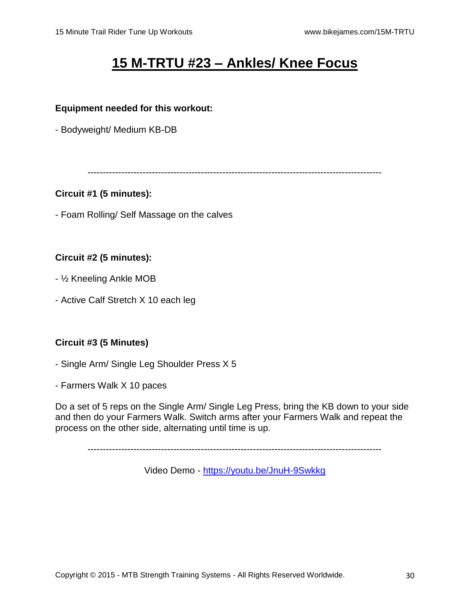# **15 M-TRTU #23 – Ankles/ Knee Focus**

#### **Equipment needed for this workout:**

- Bodyweight/ Medium KB-DB

------------------------------------------------------------------------------------------------

# **Circuit #1 (5 minutes):**

- Foam Rolling/ Self Massage on the calves

# **Circuit #2 (5 minutes):**

- ½ Kneeling Ankle MOB
- Active Calf Stretch X 10 each leg

# **Circuit #3 (5 Minutes)**

- Single Arm/ Single Leg Shoulder Press X 5
- Farmers Walk X 10 paces

Do a set of 5 reps on the Single Arm/ Single Leg Press, bring the KB down to your side and then do your Farmers Walk. Switch arms after your Farmers Walk and repeat the process on the other side, alternating until time is up.

------------------------------------------------------------------------------------------------

Video Demo - <https://youtu.be/JnuH-9Swkkg>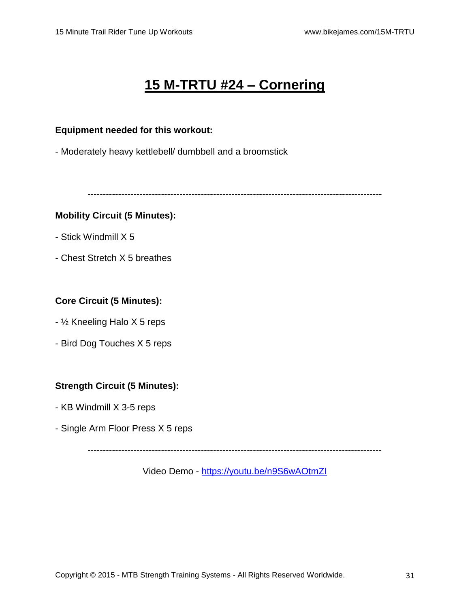# **15 M-TRTU #24 – Cornering**

#### **Equipment needed for this workout:**

- Moderately heavy kettlebell/ dumbbell and a broomstick

------------------------------------------------------------------------------------------------

#### **Mobility Circuit (5 Minutes):**

- Stick Windmill X 5
- Chest Stretch X 5 breathes

#### **Core Circuit (5 Minutes):**

- ½ Kneeling Halo X 5 reps
- Bird Dog Touches X 5 reps

#### **Strength Circuit (5 Minutes):**

- KB Windmill X 3-5 reps
- Single Arm Floor Press X 5 reps

------------------------------------------------------------------------------------------------

Video Demo - <https://youtu.be/n9S6wAOtmZI>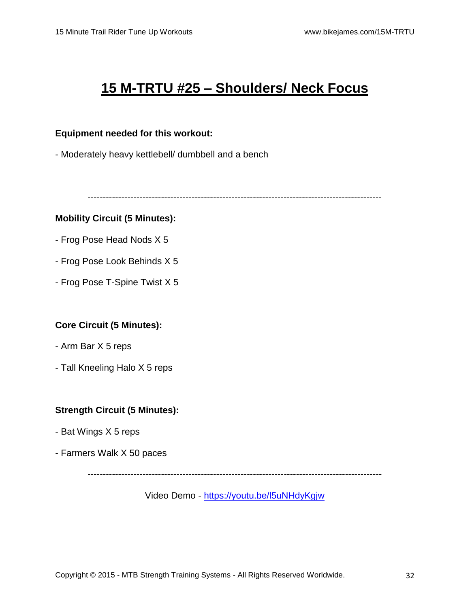# **15 M-TRTU #25 – Shoulders/ Neck Focus**

#### **Equipment needed for this workout:**

- Moderately heavy kettlebell/ dumbbell and a bench

------------------------------------------------------------------------------------------------

#### **Mobility Circuit (5 Minutes):**

- Frog Pose Head Nods X 5
- Frog Pose Look Behinds X 5
- Frog Pose T-Spine Twist X 5

# **Core Circuit (5 Minutes):**

- Arm Bar X 5 reps
- Tall Kneeling Halo X 5 reps

# **Strength Circuit (5 Minutes):**

- Bat Wings X 5 reps
- Farmers Walk X 50 paces

------------------------------------------------------------------------------------------------

Video Demo - <https://youtu.be/l5uNHdyKgjw>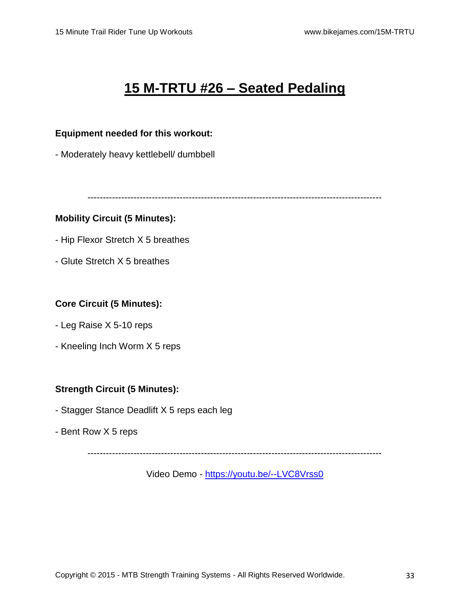# **15 M-TRTU #26 – Seated Pedaling**

#### **Equipment needed for this workout:**

- Moderately heavy kettlebell/ dumbbell

------------------------------------------------------------------------------------------------

# **Mobility Circuit (5 Minutes):**

- Hip Flexor Stretch X 5 breathes
- Glute Stretch X 5 breathes

#### **Core Circuit (5 Minutes):**

- Leg Raise X 5-10 reps
- Kneeling Inch Worm X 5 reps

# **Strength Circuit (5 Minutes):**

- Stagger Stance Deadlift X 5 reps each leg
- Bent Row X 5 reps

------------------------------------------------------------------------------------------------

Video Demo - <https://youtu.be/--LVC8Vrss0>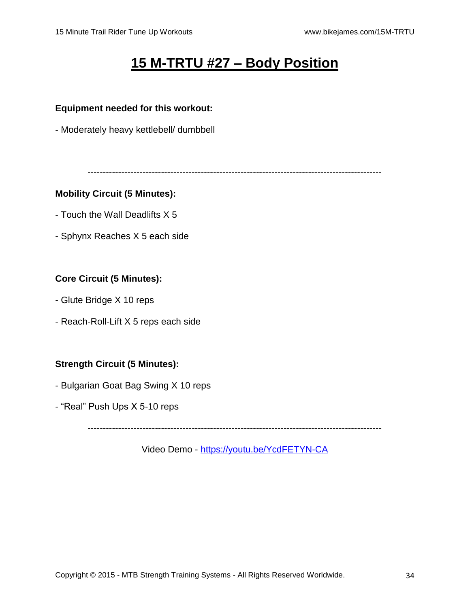# **15 M-TRTU #27 – Body Position**

#### **Equipment needed for this workout:**

- Moderately heavy kettlebell/ dumbbell

------------------------------------------------------------------------------------------------

#### **Mobility Circuit (5 Minutes):**

- Touch the Wall Deadlifts X 5
- Sphynx Reaches X 5 each side

# **Core Circuit (5 Minutes):**

- Glute Bridge X 10 reps
- Reach-Roll-Lift X 5 reps each side

# **Strength Circuit (5 Minutes):**

- Bulgarian Goat Bag Swing X 10 reps
- "Real" Push Ups X 5-10 reps

------------------------------------------------------------------------------------------------

Video Demo - <https://youtu.be/YcdFETYN-CA>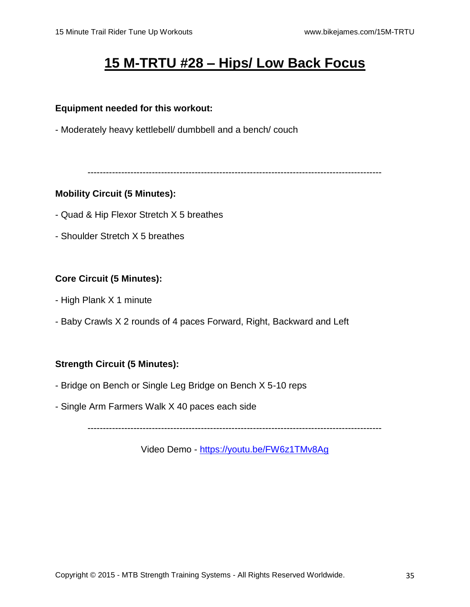# **15 M-TRTU #28 – Hips/ Low Back Focus**

### **Equipment needed for this workout:**

- Moderately heavy kettlebell/ dumbbell and a bench/ couch

------------------------------------------------------------------------------------------------

# **Mobility Circuit (5 Minutes):**

- Quad & Hip Flexor Stretch X 5 breathes
- Shoulder Stretch X 5 breathes

# **Core Circuit (5 Minutes):**

- High Plank X 1 minute
- Baby Crawls X 2 rounds of 4 paces Forward, Right, Backward and Left

# **Strength Circuit (5 Minutes):**

- Bridge on Bench or Single Leg Bridge on Bench X 5-10 reps
- Single Arm Farmers Walk X 40 paces each side

------------------------------------------------------------------------------------------------

Video Demo - <https://youtu.be/FW6z1TMv8Ag>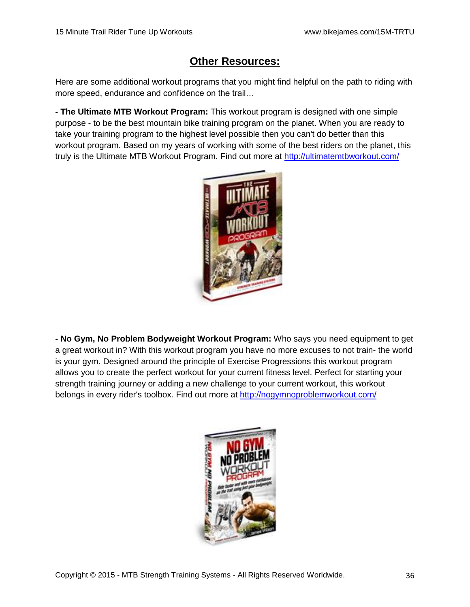# **Other Resources:**

Here are some additional workout programs that you might find helpful on the path to riding with more speed, endurance and confidence on the trail…

**- The Ultimate MTB Workout Program:** This workout program is designed with one simple purpose - to be the best mountain bike training program on the planet. When you are ready to take your training program to the highest level possible then you can't do better than this workout program. Based on my years of working with some of the best riders on the planet, this truly is the Ultimate MTB Workout Program. Find out more at<http://ultimatemtbworkout.com/>



**- No Gym, No Problem Bodyweight Workout Program:** Who says you need equipment to get a great workout in? With this workout program you have no more excuses to not train- the world is your gym. Designed around the principle of Exercise Progressions this workout program allows you to create the perfect workout for your current fitness level. Perfect for starting your strength training journey or adding a new challenge to your current workout, this workout belongs in every rider's toolbox. Find out more at<http://nogymnoproblemworkout.com/>